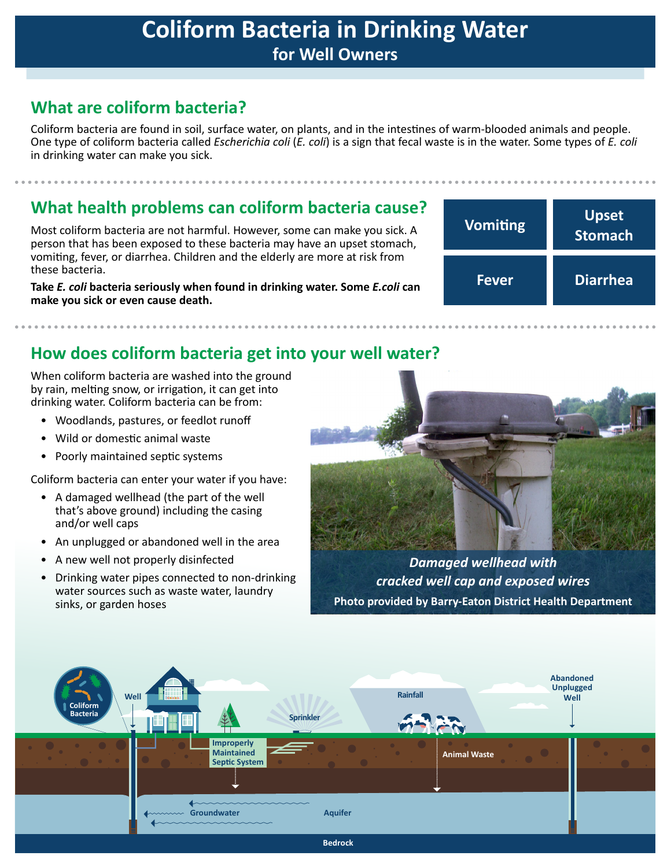# **Coliform Bacteria in Drinking Water for Well Owners**

## **What are coliform bacteria?**

Coliform bacteria are found in soil, surface water, on plants, and in the intestines of warm-blooded animals and people. One type of coliform bacteria called *Escherichia coli* (*E. coli*) is a sign that fecal waste is in the water. Some types of *E. coli*  in drinking water can make you sick.

### **What health problems can coliform bacteria cause?**

Most coliform bacteria are not harmful. However, some can make you sick. A person that has been exposed to these bacteria may have an upset stomach, vomiting, fever, or diarrhea. Children and the elderly are more at risk from these bacteria.

**Take** *E. coli* **bacteria seriously when found in drinking water. Some** *E.coli* **can make you sick or even cause death.** 

| <b>Vomiting</b> | <b>Upset</b><br><b>Stomach</b> |
|-----------------|--------------------------------|
| <b>Fever</b>    | <b>Diarrhea</b>                |

### **How does coliform bacteria get into your well water?**

When coliform bacteria are washed into the ground by rain, melting snow, or irrigation, it can get into drinking water. Coliform bacteria can be from:

- Woodlands, pastures, or feedlot runoff
- Wild or domestic animal waste
- Poorly maintained septic systems

Coliform bacteria can enter your water if you have:

- A damaged wellhead (the part of the well that's above ground) including the casing and/or well caps
- An unplugged or abandoned well in the area
- A new well not properly disinfected
- Drinking water pipes connected to non-drinking water sources such as waste water, laundry sinks, or garden hoses



*Damaged wellhead with cracked well cap and exposed wires*  **Photo provided by Barry-Eaton District Health Department**